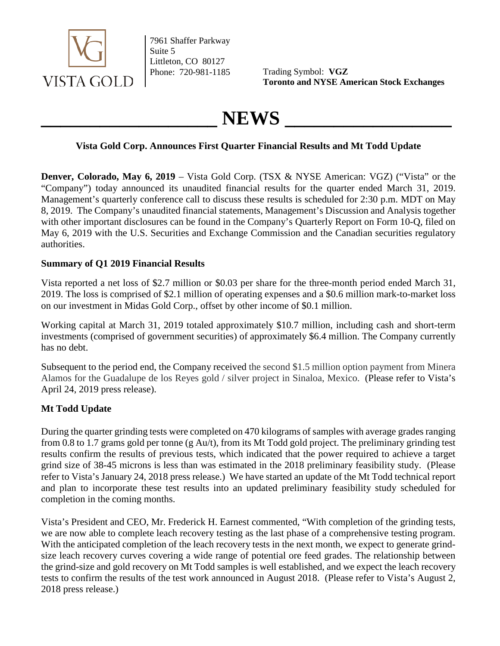

7961 Shaffer Parkway Suite 5 Littleton, CO 80127

Phone: 720-981-1185 Trading Symbol: **VGZ Toronto and NYSE American Stock Exchanges**

# **\_\_\_\_\_\_\_\_\_\_\_\_\_\_\_\_\_\_ NEWS \_\_\_\_\_\_\_\_\_\_\_\_\_\_\_\_\_**

# **Vista Gold Corp. Announces First Quarter Financial Results and Mt Todd Update**

**Denver, Colorado, May 6, 2019** – Vista Gold Corp. (TSX & NYSE American: VGZ) ("Vista" or the "Company") today announced its unaudited financial results for the quarter ended March 31, 2019. Management's quarterly conference call to discuss these results is scheduled for 2:30 p.m. MDT on May 8, 2019. The Company's unaudited financial statements, Management's Discussion and Analysis together with other important disclosures can be found in the Company's Quarterly Report on Form 10-Q, filed on May 6, 2019 with the U.S. Securities and Exchange Commission and the Canadian securities regulatory authorities.

## **Summary of Q1 2019 Financial Results**

Vista reported a net loss of \$2.7 million or \$0.03 per share for the three-month period ended March 31, 2019. The loss is comprised of \$2.1 million of operating expenses and a \$0.6 million mark-to-market loss on our investment in Midas Gold Corp., offset by other income of \$0.1 million.

Working capital at March 31, 2019 totaled approximately \$10.7 million, including cash and short-term investments (comprised of government securities) of approximately \$6.4 million. The Company currently has no debt.

Subsequent to the period end, the Company received the second \$1.5 million option payment from Minera Alamos for the Guadalupe de los Reyes gold / silver project in Sinaloa, Mexico. (Please refer to Vista's April 24, 2019 press release).

# **Mt Todd Update**

During the quarter grinding tests were completed on 470 kilograms of samples with average grades ranging from 0.8 to 1.7 grams gold per tonne (g Au/t), from its Mt Todd gold project. The preliminary grinding test results confirm the results of previous tests, which indicated that the power required to achieve a target grind size of 38-45 microns is less than was estimated in the 2018 preliminary feasibility study. (Please refer to Vista's January 24, 2018 press release.) We have started an update of the Mt Todd technical report and plan to incorporate these test results into an updated preliminary feasibility study scheduled for completion in the coming months.

Vista's President and CEO, Mr. Frederick H. Earnest commented, "With completion of the grinding tests, we are now able to complete leach recovery testing as the last phase of a comprehensive testing program. With the anticipated completion of the leach recovery tests in the next month, we expect to generate grindsize leach recovery curves covering a wide range of potential ore feed grades. The relationship between the grind-size and gold recovery on Mt Todd samples is well established, and we expect the leach recovery tests to confirm the results of the test work announced in August 2018. (Please refer to Vista's August 2, 2018 press release.)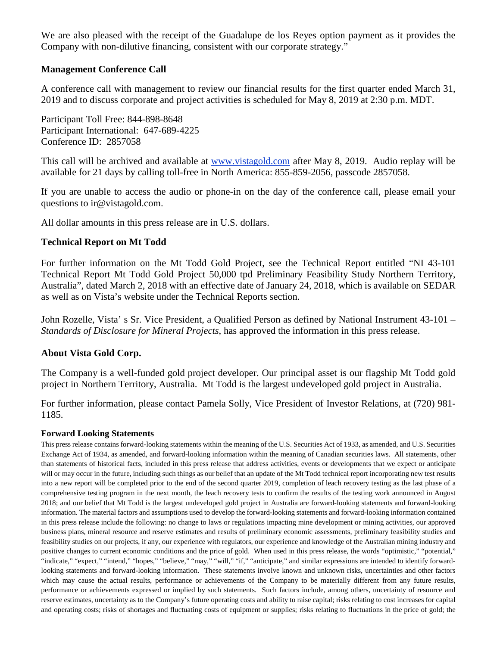We are also pleased with the receipt of the Guadalupe de los Reyes option payment as it provides the Company with non-dilutive financing, consistent with our corporate strategy."

## **Management Conference Call**

A conference call with management to review our financial results for the first quarter ended March 31, 2019 and to discuss corporate and project activities is scheduled for May 8, 2019 at 2:30 p.m. MDT.

Participant Toll Free: 844-898-8648 Participant International: 647-689-4225 Conference ID: 2857058

This call will be archived and available at [www.vistagold.com](http://www.vistagold.com/) after May 8, 2019. Audio replay will be available for 21 days by calling toll-free in North America: 855-859-2056, passcode 2857058.

If you are unable to access the audio or phone-in on the day of the conference call, please email your questions to ir@vistagold.com.

All dollar amounts in this press release are in U.S. dollars.

### **Technical Report on Mt Todd**

For further information on the Mt Todd Gold Project, see the Technical Report entitled "NI 43-101 Technical Report Mt Todd Gold Project 50,000 tpd Preliminary Feasibility Study Northern Territory, Australia", dated March 2, 2018 with an effective date of January 24, 2018, which is available on SEDAR as well as on Vista's website under the Technical Reports section.

John Rozelle, Vista' s Sr. Vice President, a Qualified Person as defined by National Instrument 43-101 – *Standards of Disclosure for Mineral Projects*, has approved the information in this press release.

### **About Vista Gold Corp.**

The Company is a well-funded gold project developer. Our principal asset is our flagship Mt Todd gold project in Northern Territory, Australia. Mt Todd is the largest undeveloped gold project in Australia.

For further information, please contact Pamela Solly, Vice President of Investor Relations, at (720) 981- 1185.

### **Forward Looking Statements**

This press release contains forward-looking statements within the meaning of the U.S. Securities Act of 1933, as amended, and U.S. Securities Exchange Act of 1934, as amended, and forward-looking information within the meaning of Canadian securities laws. All statements, other than statements of historical facts, included in this press release that address activities, events or developments that we expect or anticipate will or may occur in the future, including such things as our belief that an update of the Mt Todd technical report incorporating new test results into a new report will be completed prior to the end of the second quarter 2019, completion of leach recovery testing as the last phase of a comprehensive testing program in the next month, the leach recovery tests to confirm the results of the testing work announced in August 2018; and our belief that Mt Todd is the largest undeveloped gold project in Australia are forward-looking statements and forward-looking information. The material factors and assumptions used to develop the forward-looking statements and forward-looking information contained in this press release include the following: no change to laws or regulations impacting mine development or mining activities, our approved business plans, mineral resource and reserve estimates and results of preliminary economic assessments, preliminary feasibility studies and feasibility studies on our projects, if any, our experience with regulators, our experience and knowledge of the Australian mining industry and positive changes to current economic conditions and the price of gold. When used in this press release, the words "optimistic," "potential," "indicate," "expect," "intend," "hopes," "believe," "may," "will," "if," "anticipate," and similar expressions are intended to identify forwardlooking statements and forward-looking information. These statements involve known and unknown risks, uncertainties and other factors which may cause the actual results, performance or achievements of the Company to be materially different from any future results, performance or achievements expressed or implied by such statements. Such factors include, among others, uncertainty of resource and reserve estimates, uncertainty as to the Company's future operating costs and ability to raise capital; risks relating to cost increases for capital and operating costs; risks of shortages and fluctuating costs of equipment or supplies; risks relating to fluctuations in the price of gold; the